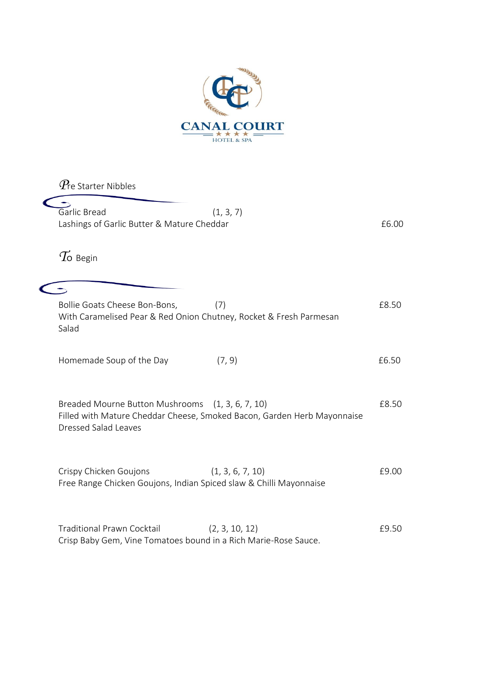

*P*re Starter Nibbles Garlic Bread (1, 3, 7) Lashings of Garlic Butter & Mature Cheddar **EG.00**  $T$ o Begin  $\sqrt{2}$ Bollie Goats Cheese Bon-Bons, (7) The Contract of the Contract of the E8.50 With Caramelised Pear & Red Onion Chutney, Rocket & Fresh Parmesan Salad Homemade Soup of the Day (7, 9) **EXACTE 10** E6.50 Breaded Mourne Button Mushrooms (1, 3, 6, 7, 10) 68.50 Filled with Mature Cheddar Cheese, Smoked Bacon, Garden Herb Mayonnaise Dressed Salad Leaves Crispy Chicken Goujons (1, 3, 6, 7, 10) 69.00 Free Range Chicken Goujons, Indian Spiced slaw & Chilli Mayonnaise Traditional Prawn Cocktail (2, 3, 10, 12) 69.50 Crisp Baby Gem, Vine Tomatoes bound in a Rich Marie-Rose Sauce.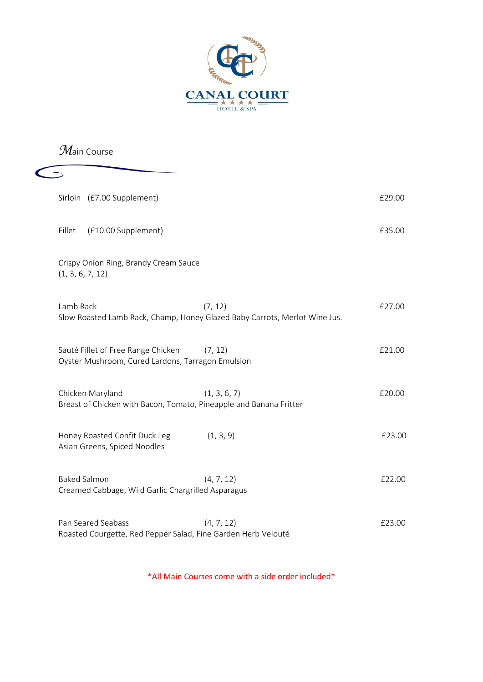

*M*ain Course

| Sirloin (£7.00 Supplement)                                                              |                                                                                       | £29.00 |
|-----------------------------------------------------------------------------------------|---------------------------------------------------------------------------------------|--------|
| Fillet<br>(£10.00 Supplement)                                                           |                                                                                       | £35.00 |
| Crispy Onion Ring, Brandy Cream Sauce<br>(1, 3, 6, 7, 12)                               |                                                                                       |        |
| Lamb Rack                                                                               | (7, 12)<br>Slow Roasted Lamb Rack, Champ, Honey Glazed Baby Carrots, Merlot Wine Jus. | £27.00 |
| Sauté Fillet of Free Range Chicken<br>Oyster Mushroom, Cured Lardons, Tarragon Emulsion | (7, 12)                                                                               | £21.00 |
| Chicken Maryland                                                                        | (1, 3, 6, 7)<br>Breast of Chicken with Bacon, Tomato, Pineapple and Banana Fritter    | £20.00 |
| Honey Roasted Confit Duck Leg<br>Asian Greens, Spiced Noodles                           | (1, 3, 9)                                                                             | £23.00 |
| <b>Baked Salmon</b><br>Creamed Cabbage, Wild Garlic Chargrilled Asparagus               | (4, 7, 12)                                                                            | £22.00 |
| Pan Seared Seabass<br>Roasted Courgette, Red Pepper Salad, Fine Garden Herb Velouté     | (4, 7, 12)                                                                            | £23.00 |

\*All Main Courses come with a side order included\*